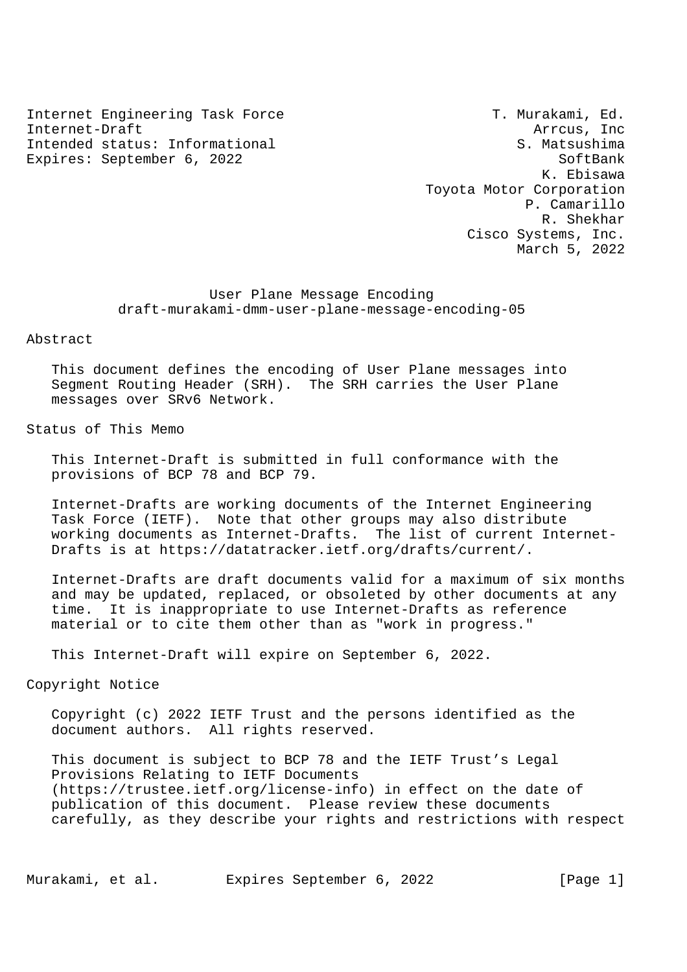Internet Engineering Task Force T. Murakami, Ed. Internet-Draft Arrcus, Inc. And the Arrcus, Inc. And the Arrcus, Inc. And the Arrcus, Inc. Arrcus, Inc. Arrcus, Inc. Intended status: Informational S. Matsushima Expires: September 6, 2022 SoftBank

 K. Ebisawa Toyota Motor Corporation P. Camarillo R. Shekhar Cisco Systems, Inc. March 5, 2022

 User Plane Message Encoding draft-murakami-dmm-user-plane-message-encoding-05

Abstract

 This document defines the encoding of User Plane messages into Segment Routing Header (SRH). The SRH carries the User Plane messages over SRv6 Network.

Status of This Memo

 This Internet-Draft is submitted in full conformance with the provisions of BCP 78 and BCP 79.

 Internet-Drafts are working documents of the Internet Engineering Task Force (IETF). Note that other groups may also distribute working documents as Internet-Drafts. The list of current Internet- Drafts is at https://datatracker.ietf.org/drafts/current/.

 Internet-Drafts are draft documents valid for a maximum of six months and may be updated, replaced, or obsoleted by other documents at any time. It is inappropriate to use Internet-Drafts as reference material or to cite them other than as "work in progress."

This Internet-Draft will expire on September 6, 2022.

Copyright Notice

 Copyright (c) 2022 IETF Trust and the persons identified as the document authors. All rights reserved.

 This document is subject to BCP 78 and the IETF Trust's Legal Provisions Relating to IETF Documents (https://trustee.ietf.org/license-info) in effect on the date of publication of this document. Please review these documents carefully, as they describe your rights and restrictions with respect

Murakami, et al. Expires September 6, 2022 [Page 1]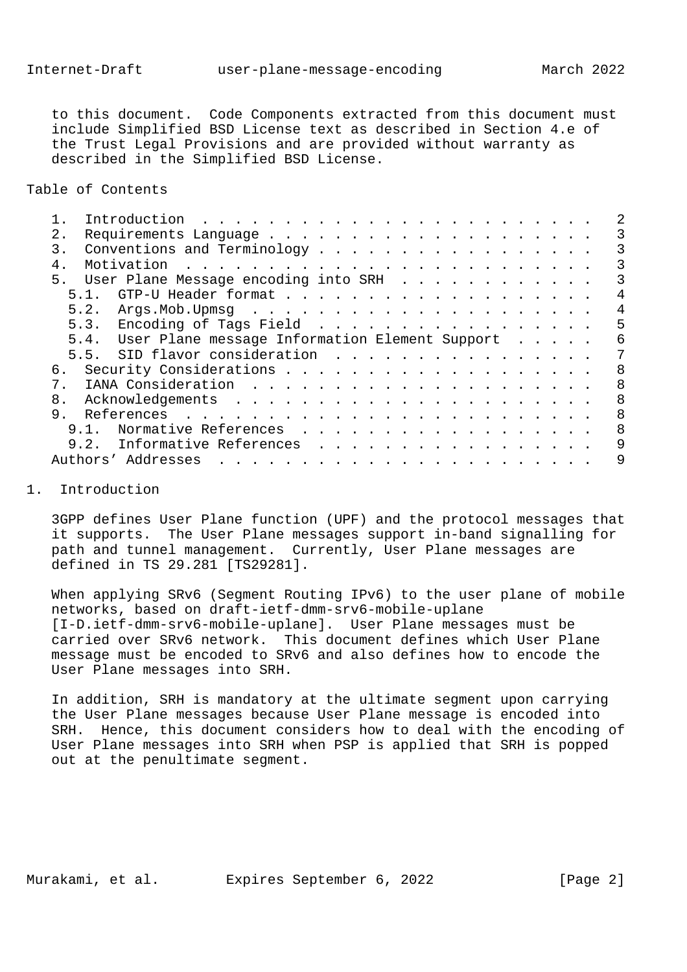to this document. Code Components extracted from this document must include Simplified BSD License text as described in Section 4.e of the Trust Legal Provisions and are provided without warranty as described in the Simplified BSD License.

Table of Contents

|                |      | Introduction                                        | $\frac{1}{2}$ . The contract of the contract of the contract of the contract of the contract of the contract of the contract of the contract of the contract of the contract of the contract of the contract of the contract of t |                                                                                                                     |  |  |  |  |  |  |  |  |   |
|----------------|------|-----------------------------------------------------|-----------------------------------------------------------------------------------------------------------------------------------------------------------------------------------------------------------------------------------|---------------------------------------------------------------------------------------------------------------------|--|--|--|--|--|--|--|--|---|
| 2.             |      |                                                     |                                                                                                                                                                                                                                   |                                                                                                                     |  |  |  |  |  |  |  |  |   |
| 3.             |      | Conventions and Terminology                         |                                                                                                                                                                                                                                   |                                                                                                                     |  |  |  |  |  |  |  |  | 3 |
| $\overline{4}$ |      | Motivation                                          |                                                                                                                                                                                                                                   |                                                                                                                     |  |  |  |  |  |  |  |  | 3 |
| 5 <sub>1</sub> |      | User Plane Message encoding into SRH                |                                                                                                                                                                                                                                   |                                                                                                                     |  |  |  |  |  |  |  |  |   |
|                | 5.1. |                                                     |                                                                                                                                                                                                                                   |                                                                                                                     |  |  |  |  |  |  |  |  |   |
|                |      |                                                     |                                                                                                                                                                                                                                   |                                                                                                                     |  |  |  |  |  |  |  |  | 4 |
|                |      | 5.3. Encoding of Tags Field                         |                                                                                                                                                                                                                                   |                                                                                                                     |  |  |  |  |  |  |  |  | 5 |
|                |      | 5.4. User Plane message Information Element Support |                                                                                                                                                                                                                                   |                                                                                                                     |  |  |  |  |  |  |  |  | 6 |
|                |      | 5.5. SID flavor consideration                       |                                                                                                                                                                                                                                   |                                                                                                                     |  |  |  |  |  |  |  |  |   |
| б.             |      |                                                     |                                                                                                                                                                                                                                   |                                                                                                                     |  |  |  |  |  |  |  |  | 8 |
|                |      |                                                     |                                                                                                                                                                                                                                   |                                                                                                                     |  |  |  |  |  |  |  |  | 8 |
| 8.             |      |                                                     |                                                                                                                                                                                                                                   |                                                                                                                     |  |  |  |  |  |  |  |  | 8 |
| 9.             |      |                                                     |                                                                                                                                                                                                                                   |                                                                                                                     |  |  |  |  |  |  |  |  | 8 |
|                | 9.1  | Normative References                                |                                                                                                                                                                                                                                   |                                                                                                                     |  |  |  |  |  |  |  |  | 8 |
|                |      | 9.2. Informative References                         |                                                                                                                                                                                                                                   |                                                                                                                     |  |  |  |  |  |  |  |  | 9 |
|                |      | Authors' Addresses                                  |                                                                                                                                                                                                                                   | a de la construcción de la construcción de la construcción de la construcción de la construcción de la construcción |  |  |  |  |  |  |  |  |   |
|                |      |                                                     |                                                                                                                                                                                                                                   |                                                                                                                     |  |  |  |  |  |  |  |  |   |

## 1. Introduction

 3GPP defines User Plane function (UPF) and the protocol messages that it supports. The User Plane messages support in-band signalling for path and tunnel management. Currently, User Plane messages are defined in TS 29.281 [TS29281].

 When applying SRv6 (Segment Routing IPv6) to the user plane of mobile networks, based on draft-ietf-dmm-srv6-mobile-uplane [I-D.ietf-dmm-srv6-mobile-uplane]. User Plane messages must be carried over SRv6 network. This document defines which User Plane message must be encoded to SRv6 and also defines how to encode the User Plane messages into SRH.

 In addition, SRH is mandatory at the ultimate segment upon carrying the User Plane messages because User Plane message is encoded into SRH. Hence, this document considers how to deal with the encoding of User Plane messages into SRH when PSP is applied that SRH is popped out at the penultimate segment.

Murakami, et al. 
Expires September 6, 2022

[Page 2]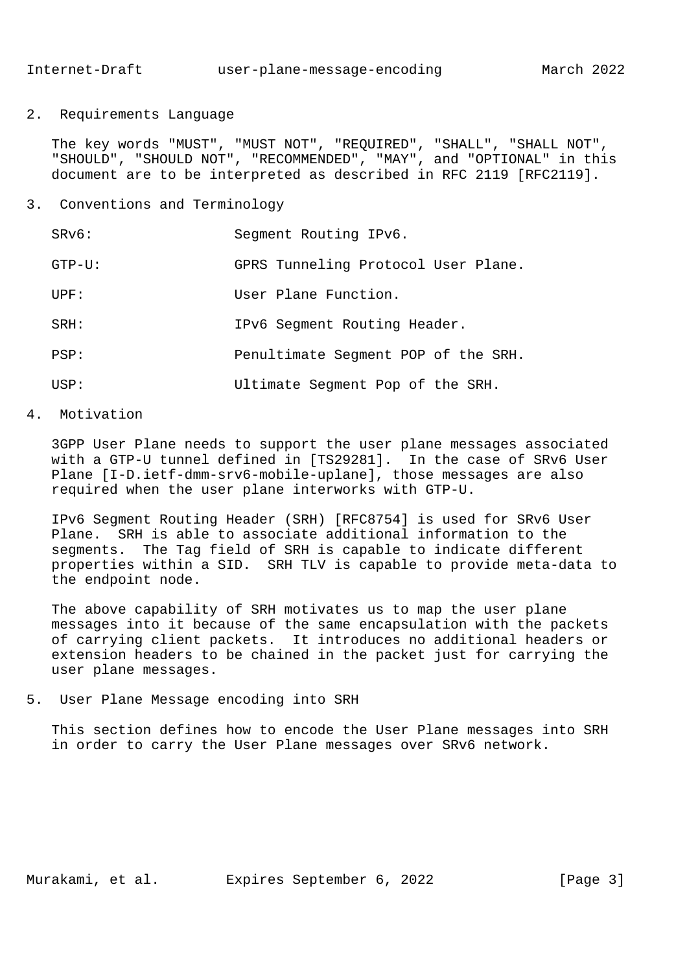2. Requirements Language

 The key words "MUST", "MUST NOT", "REQUIRED", "SHALL", "SHALL NOT", "SHOULD", "SHOULD NOT", "RECOMMENDED", "MAY", and "OPTIONAL" in this document are to be interpreted as described in RFC 2119 [RFC2119].

3. Conventions and Terminology

| SRv6:     | Seqment Routing IPv6.               |
|-----------|-------------------------------------|
| $GTP-U$ : | GPRS Tunneling Protocol User Plane. |
| IIPF:     | User Plane Function.                |
| SRH:      | IPv6 Segment Routing Header.        |
| PSP:      | Penultimate Segment POP of the SRH. |
| USP:      | Ultimate Segment Pop of the SRH.    |

#### 4. Motivation

 3GPP User Plane needs to support the user plane messages associated with a GTP-U tunnel defined in [TS29281]. In the case of SRv6 User Plane [I-D.ietf-dmm-srv6-mobile-uplane], those messages are also required when the user plane interworks with GTP-U.

 IPv6 Segment Routing Header (SRH) [RFC8754] is used for SRv6 User Plane. SRH is able to associate additional information to the segments. The Tag field of SRH is capable to indicate different properties within a SID. SRH TLV is capable to provide meta-data to the endpoint node.

 The above capability of SRH motivates us to map the user plane messages into it because of the same encapsulation with the packets of carrying client packets. It introduces no additional headers or extension headers to be chained in the packet just for carrying the user plane messages.

5. User Plane Message encoding into SRH

 This section defines how to encode the User Plane messages into SRH in order to carry the User Plane messages over SRv6 network.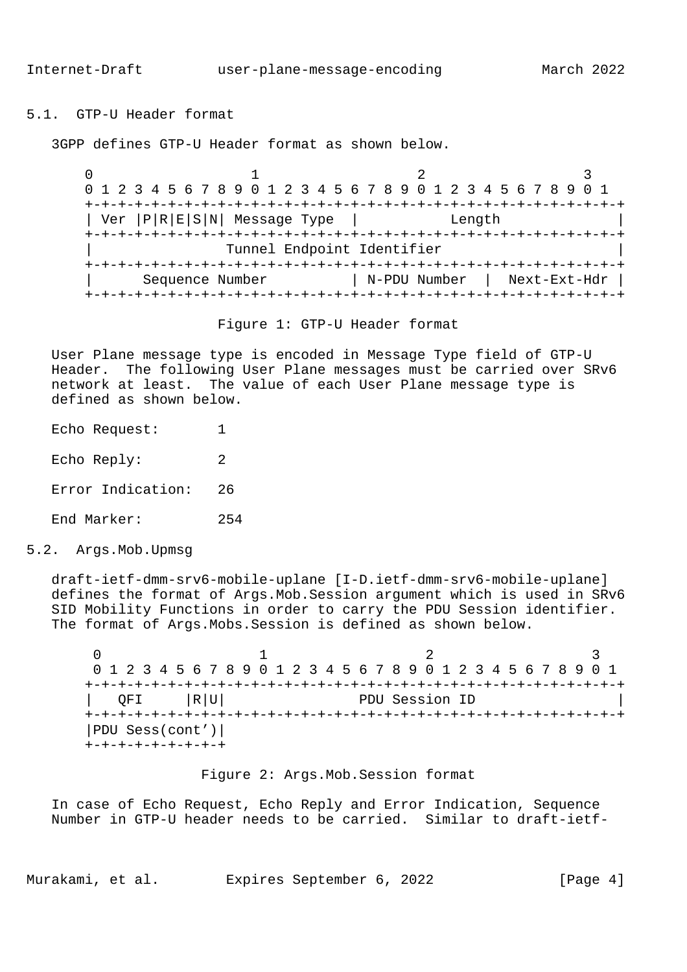# 5.1. GTP-U Header format

3GPP defines GTP-U Header format as shown below.

 $0$  and  $1$  and  $2$  3 0 1 2 3 4 5 6 7 8 9 0 1 2 3 4 5 6 7 8 9 0 1 2 3 4 5 6 7 8 9 0 1 +-+-+-+-+-+-+-+-+-+-+-+-+-+-+-+-+-+-+-+-+-+-+-+-+-+-+-+-+-+-+-+-+ | Ver |P|R|E|S|N| Message Type | Length | +-+-+-+-+-+-+-+-+-+-+-+-+-+-+-+-+-+-+-+-+-+-+-+-+-+-+-+-+-+-+-+-+ Tunnel Endpoint Identifier +-+-+-+-+-+-+-+-+-+-+-+-+-+-+-+-+-+-+-+-+-+-+-+-+-+-+-+-+-+-+-+-+ | Sequence Number | N-PDU Number | Next-Ext-Hdr | +-+-+-+-+-+-+-+-+-+-+-+-+-+-+-+-+-+-+-+-+-+-+-+-+-+-+-+-+-+-+-+-+

Figure 1: GTP-U Header format

 User Plane message type is encoded in Message Type field of GTP-U Header. The following User Plane messages must be carried over SRv6 network at least. The value of each User Plane message type is defined as shown below.

- Echo Request: 1 Echo Reply: 2 Error Indication: 26 End Marker: 254
- 5.2. Args.Mob.Upmsg

 draft-ietf-dmm-srv6-mobile-uplane [I-D.ietf-dmm-srv6-mobile-uplane] defines the format of Args.Mob.Session argument which is used in SRv6 SID Mobility Functions in order to carry the PDU Session identifier. The format of Args.Mobs.Session is defined as shown below.

 $0$  1 2 3 0 1 2 3 4 5 6 7 8 9 0 1 2 3 4 5 6 7 8 9 0 1 2 3 4 5 6 7 8 9 0 1 +-+-+-+-+-+-+-+-+-+-+-+-+-+-+-+-+-+-+-+-+-+-+-+-+-+-+-+-+-+-+-+-+ | QFI |R|U| PDU Session ID | +-+-+-+-+-+-+-+-+-+-+-+-+-+-+-+-+-+-+-+-+-+-+-+-+-+-+-+-+-+-+-+-+ |PDU Sess(cont')| +-+-+-+-+-+-+-+-+

Figure 2: Args.Mob.Session format

 In case of Echo Request, Echo Reply and Error Indication, Sequence Number in GTP-U header needs to be carried. Similar to draft-ietf-

Murakami, et al. 
Expires September 6, 2022

[Page 4]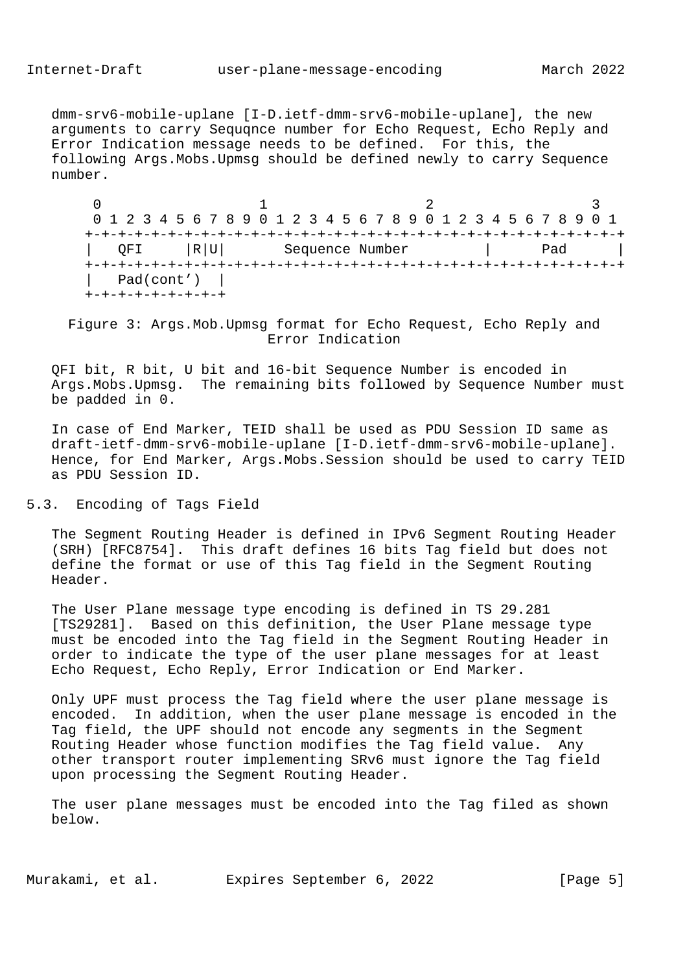dmm-srv6-mobile-uplane [I-D.ietf-dmm-srv6-mobile-uplane], the new arguments to carry Sequqnce number for Echo Request, Echo Reply and Error Indication message needs to be defined. For this, the following Args.Mobs.Upmsg should be defined newly to carry Sequence number.

 $0$  1 2 3 0 1 2 3 4 5 6 7 8 9 0 1 2 3 4 5 6 7 8 9 0 1 2 3 4 5 6 7 8 9 0 1 +-+-+-+-+-+-+-+-+-+-+-+-+-+-+-+-+-+-+-+-+-+-+-+-+-+-+-+-+-+-+-+-+ | QFI |R|U| Sequence Number | Pad | +-+-+-+-+-+-+-+-+-+-+-+-+-+-+-+-+-+-+-+-+-+-+-+-+-+-+-+-+-+-+-+-+  $Pad(cont')$  | +-+-+-+-+-+-+-+-+

 Figure 3: Args.Mob.Upmsg format for Echo Request, Echo Reply and Error Indication

 QFI bit, R bit, U bit and 16-bit Sequence Number is encoded in Args.Mobs.Upmsg. The remaining bits followed by Sequence Number must be padded in 0.

 In case of End Marker, TEID shall be used as PDU Session ID same as draft-ietf-dmm-srv6-mobile-uplane [I-D.ietf-dmm-srv6-mobile-uplane]. Hence, for End Marker, Args.Mobs.Session should be used to carry TEID as PDU Session ID.

5.3. Encoding of Tags Field

 The Segment Routing Header is defined in IPv6 Segment Routing Header (SRH) [RFC8754]. This draft defines 16 bits Tag field but does not define the format or use of this Tag field in the Segment Routing Header.

 The User Plane message type encoding is defined in TS 29.281 [TS29281]. Based on this definition, the User Plane message type must be encoded into the Tag field in the Segment Routing Header in order to indicate the type of the user plane messages for at least Echo Request, Echo Reply, Error Indication or End Marker.

 Only UPF must process the Tag field where the user plane message is encoded. In addition, when the user plane message is encoded in the Tag field, the UPF should not encode any segments in the Segment Routing Header whose function modifies the Tag field value. Any other transport router implementing SRv6 must ignore the Tag field upon processing the Segment Routing Header.

 The user plane messages must be encoded into the Tag filed as shown below.

Murakami, et al. Expires September 6, 2022 [Page 5]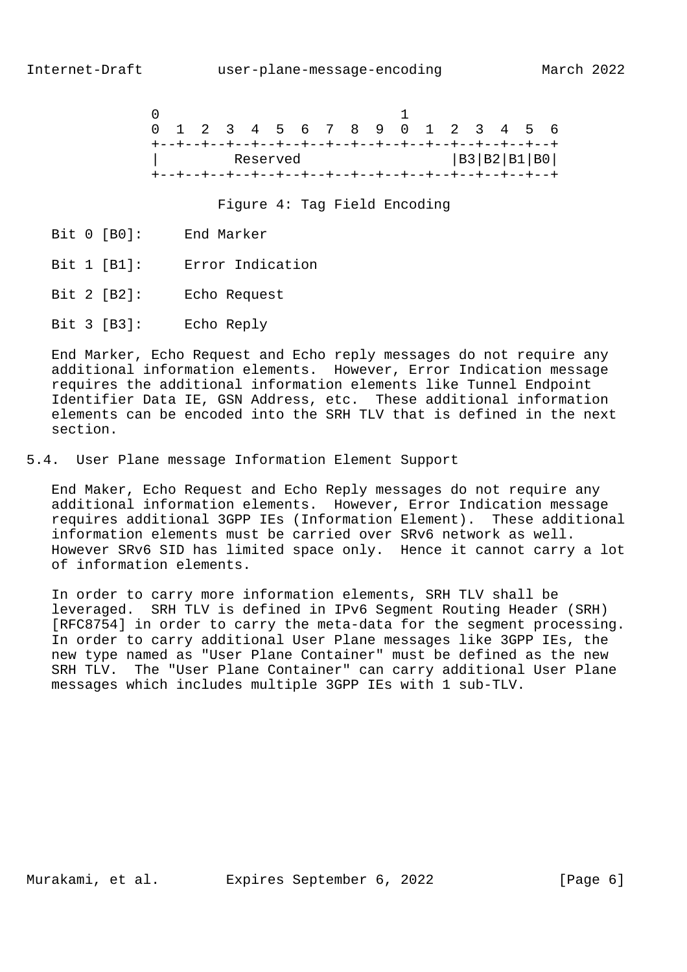

Figure 4: Tag Field Encoding

- Bit 0 [B0]: End Marker
- Bit 1 [B1]: Error Indication
- Bit 2 [B2]: Echo Request
- Bit 3 [B3]: Echo Reply

 End Marker, Echo Request and Echo reply messages do not require any additional information elements. However, Error Indication message requires the additional information elements like Tunnel Endpoint Identifier Data IE, GSN Address, etc. These additional information elements can be encoded into the SRH TLV that is defined in the next section.

5.4. User Plane message Information Element Support

 End Maker, Echo Request and Echo Reply messages do not require any additional information elements. However, Error Indication message requires additional 3GPP IEs (Information Element). These additional information elements must be carried over SRv6 network as well. However SRv6 SID has limited space only. Hence it cannot carry a lot of information elements.

 In order to carry more information elements, SRH TLV shall be leveraged. SRH TLV is defined in IPv6 Segment Routing Header (SRH) [RFC8754] in order to carry the meta-data for the segment processing. In order to carry additional User Plane messages like 3GPP IEs, the new type named as "User Plane Container" must be defined as the new SRH TLV. The "User Plane Container" can carry additional User Plane messages which includes multiple 3GPP IEs with 1 sub-TLV.

Murakami, et al. 
Expires September 6, 2022

[Page 6]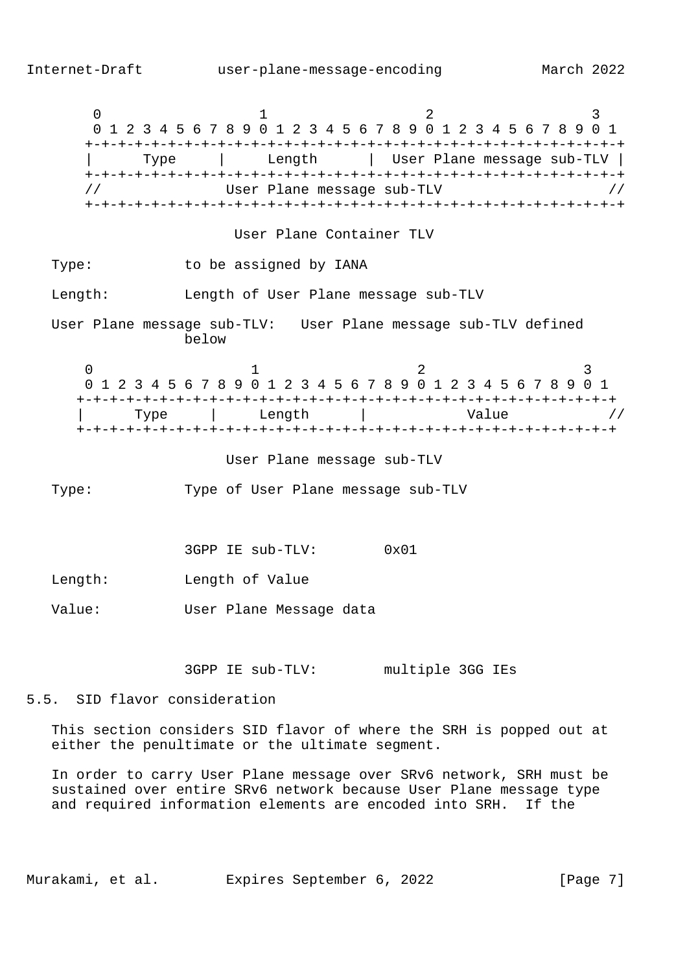$0$  1 2 3 0 1 2 3 4 5 6 7 8 9 0 1 2 3 4 5 6 7 8 9 0 1 2 3 4 5 6 7 8 9 0 1 +-+-+-+-+-+-+-+-+-+-+-+-+-+-+-+-+-+-+-+-+-+-+-+-+-+-+-+-+-+-+-+-+ | Type | Length | User Plane message sub-TLV | +-+-+-+-+-+-+-+-+-+-+-+-+-+-+-+-+-+-+-+-+-+-+-+-+-+-+-+-+-+-+-+-+ // User Plane message sub-TLV // +-+-+-+-+-+-+-+-+-+-+-+-+-+-+-+-+-+-+-+-+-+-+-+-+-+-+-+-+-+-+-+-+ User Plane Container TLV Type: to be assigned by IANA Length: Length of User Plane message sub-TLV User Plane message sub-TLV: User Plane message sub-TLV defined below  $0$  and  $1$  and  $2$  3 0 1 2 3 4 5 6 7 8 9 0 1 2 3 4 5 6 7 8 9 0 1 2 3 4 5 6 7 8 9 0 1 +-+-+-+-+-+-+-+-+-+-+-+-+-+-+-+-+-+-+-+-+-+-+-+-+-+-+-+-+-+-+-+-+ Type | Length | Value // +-+-+-+-+-+-+-+-+-+-+-+-+-+-+-+-+-+-+-+-+-+-+-+-+-+-+-+-+-+-+-+-+ User Plane message sub-TLV Type: Type of User Plane message sub-TLV 3GPP IE sub-TLV: 0x01 Length: Length of Value Value: User Plane Message data 3GPP IE sub-TLV: multiple 3GG IEs 5.5. SID flavor consideration This section considers SID flavor of where the SRH is popped out at either the penultimate or the ultimate segment.

 In order to carry User Plane message over SRv6 network, SRH must be sustained over entire SRv6 network because User Plane message type and required information elements are encoded into SRH. If the

Murakami, et al. 
Expires September 6, 2022

[Page 7]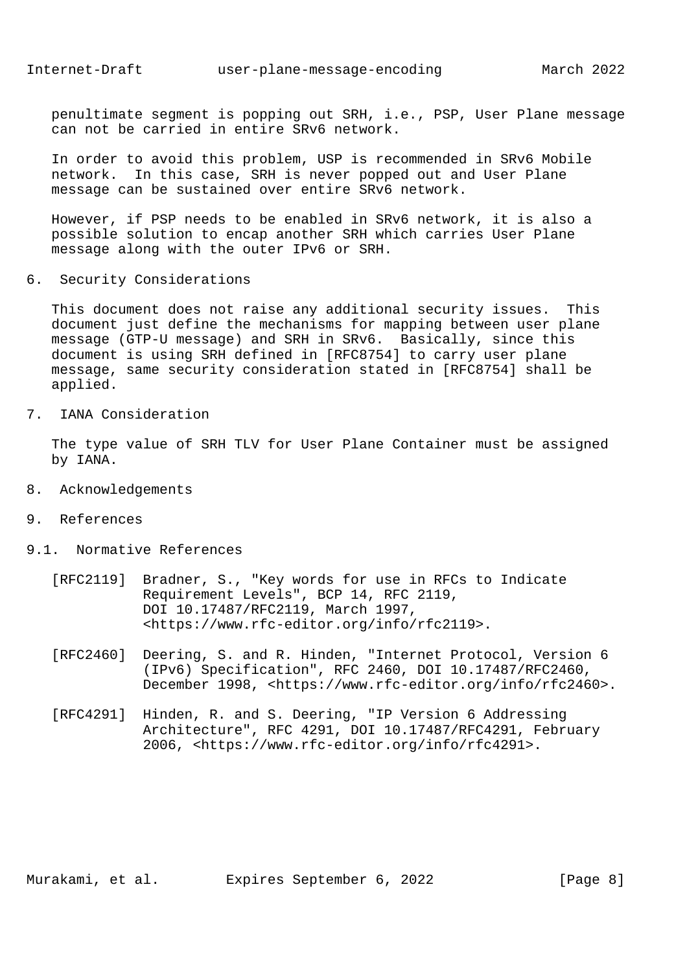penultimate segment is popping out SRH, i.e., PSP, User Plane message can not be carried in entire SRv6 network.

 In order to avoid this problem, USP is recommended in SRv6 Mobile network. In this case, SRH is never popped out and User Plane message can be sustained over entire SRv6 network.

 However, if PSP needs to be enabled in SRv6 network, it is also a possible solution to encap another SRH which carries User Plane message along with the outer IPv6 or SRH.

6. Security Considerations

 This document does not raise any additional security issues. This document just define the mechanisms for mapping between user plane message (GTP-U message) and SRH in SRv6. Basically, since this document is using SRH defined in [RFC8754] to carry user plane message, same security consideration stated in [RFC8754] shall be applied.

7. IANA Consideration

 The type value of SRH TLV for User Plane Container must be assigned by IANA.

- 8. Acknowledgements
- 9. References
- 9.1. Normative References
	- [RFC2119] Bradner, S., "Key words for use in RFCs to Indicate Requirement Levels", BCP 14, RFC 2119, DOI 10.17487/RFC2119, March 1997, <https://www.rfc-editor.org/info/rfc2119>.
	- [RFC2460] Deering, S. and R. Hinden, "Internet Protocol, Version 6 (IPv6) Specification", RFC 2460, DOI 10.17487/RFC2460, December 1998, <https://www.rfc-editor.org/info/rfc2460>.
	- [RFC4291] Hinden, R. and S. Deering, "IP Version 6 Addressing Architecture", RFC 4291, DOI 10.17487/RFC4291, February 2006, <https://www.rfc-editor.org/info/rfc4291>.

Murakami, et al. Expires September 6, 2022 [Page 8]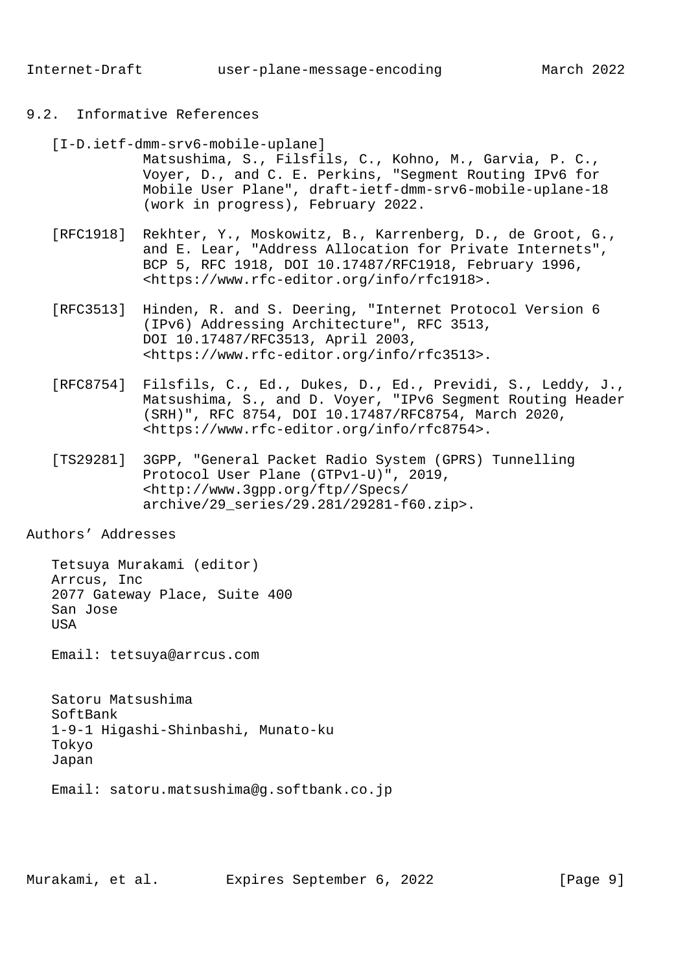## 9.2. Informative References

- [I-D.ietf-dmm-srv6-mobile-uplane]
	- Matsushima, S., Filsfils, C., Kohno, M., Garvia, P. C., Voyer, D., and C. E. Perkins, "Segment Routing IPv6 for Mobile User Plane", draft-ietf-dmm-srv6-mobile-uplane-18 (work in progress), February 2022.
- [RFC1918] Rekhter, Y., Moskowitz, B., Karrenberg, D., de Groot, G., and E. Lear, "Address Allocation for Private Internets", BCP 5, RFC 1918, DOI 10.17487/RFC1918, February 1996, <https://www.rfc-editor.org/info/rfc1918>.
- [RFC3513] Hinden, R. and S. Deering, "Internet Protocol Version 6 (IPv6) Addressing Architecture", RFC 3513, DOI 10.17487/RFC3513, April 2003, <https://www.rfc-editor.org/info/rfc3513>.
- [RFC8754] Filsfils, C., Ed., Dukes, D., Ed., Previdi, S., Leddy, J., Matsushima, S., and D. Voyer, "IPv6 Segment Routing Header (SRH)", RFC 8754, DOI 10.17487/RFC8754, March 2020, <https://www.rfc-editor.org/info/rfc8754>.
- [TS29281] 3GPP, "General Packet Radio System (GPRS) Tunnelling Protocol User Plane (GTPv1-U)", 2019, <http://www.3gpp.org/ftp//Specs/ archive/29\_series/29.281/29281-f60.zip>.

## Authors' Addresses

 Tetsuya Murakami (editor) Arrcus, Inc 2077 Gateway Place, Suite 400 San Jose USA

Email: tetsuya@arrcus.com

 Satoru Matsushima SoftBank 1-9-1 Higashi-Shinbashi, Munato-ku Tokyo Japan

Email: satoru.matsushima@g.softbank.co.jp

Murakami, et al. Expires September 6, 2022 [Page 9]